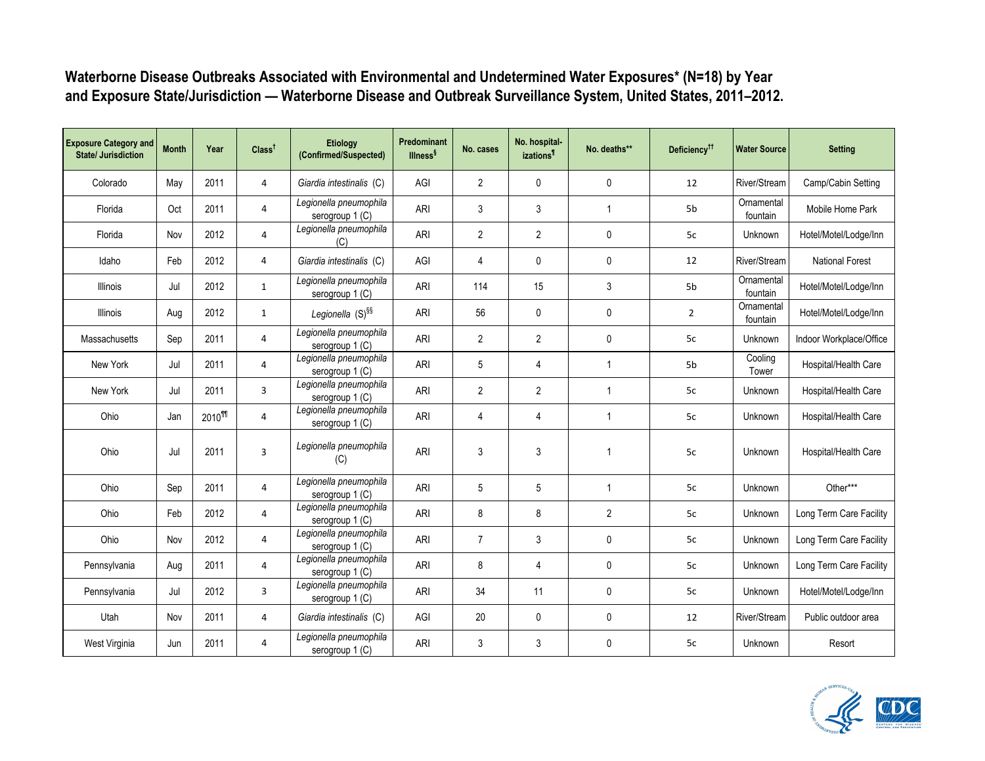| <b>Exposure Category and</b><br><b>State/ Jurisdiction</b> | <b>Month</b> | Year               | Class <sup>†</sup> | Etiology<br>(Confirmed/Suspected)         | Predominant<br><b>Illness</b> <sup>§</sup> | No. cases      | No. hospital-<br><i>izations<sup>1</sup></i> | No. deaths**   | Deficiency <sup>††</sup> | <b>Water Source</b>    | <b>Setting</b>          |
|------------------------------------------------------------|--------------|--------------------|--------------------|-------------------------------------------|--------------------------------------------|----------------|----------------------------------------------|----------------|--------------------------|------------------------|-------------------------|
| Colorado                                                   | May          | 2011               | 4                  | Giardia intestinalis (C)                  | AGI                                        | 2              | $\mathbf 0$                                  | 0              | 12                       | River/Stream           | Camp/Cabin Setting      |
| Florida                                                    | Oct          | 2011               | 4                  | Legionella pneumophila<br>serogroup 1 (C) | ARI                                        | 3              | 3                                            | $\mathbf{1}$   | 5 <sub>b</sub>           | Ornamental<br>fountain | Mobile Home Park        |
| Florida                                                    | Nov          | 2012               | 4                  | Legionella pneumophila<br>(C)             | <b>ARI</b>                                 | $\mathbf{2}$   | $\overline{2}$                               | 0              | 5c                       | Unknown                | Hotel/Motel/Lodge/Inn   |
| Idaho                                                      | Feb          | 2012               | 4                  | Giardia intestinalis (C)                  | AGI                                        | 4              | $\mathbf 0$                                  | $\mathbf 0$    | 12                       | River/Stream           | <b>National Forest</b>  |
| Illinois                                                   | Jul          | 2012               | $\mathbf{1}$       | Legionella pneumophila<br>serogroup 1 (C) | ARI                                        | 114            | 15                                           | 3              | 5 <sub>b</sub>           | Ornamental<br>fountain | Hotel/Motel/Lodge/Inn   |
| Illinois                                                   | Aug          | 2012               | $\mathbf{1}$       | Legionella $(S)$ <sup>§§</sup>            | <b>ARI</b>                                 | 56             | $\mathbf 0$                                  | 0              | $\overline{2}$           | Ornamental<br>fountain | Hotel/Motel/Lodge/Inn   |
| Massachusetts                                              | Sep          | 2011               | 4                  | Legionella pneumophila<br>serogroup 1 (C) | <b>ARI</b>                                 | $\mathbf{2}$   | $\overline{2}$                               | $\mathbf 0$    | 5c                       | Unknown                | Indoor Workplace/Office |
| New York                                                   | Jul          | 2011               | 4                  | Legionella pneumophila<br>serogroup 1 (C) | ARI                                        | 5              | 4                                            | $\mathbf{1}$   | 5 <sub>b</sub>           | Cooling<br>Tower       | Hospital/Health Care    |
| New York                                                   | Jul          | 2011               | 3                  | Legionella pneumophila<br>serogroup 1 (C) | <b>ARI</b>                                 | $\overline{2}$ | $\overline{2}$                               | $\mathbf{1}$   | 5c                       | Unknown                | Hospital/Health Care    |
| Ohio                                                       | Jan          | 2010 <sup>11</sup> | $\overline{4}$     | Legionella pneumophila<br>serogroup 1 (C) | <b>ARI</b>                                 | $\overline{4}$ | $\overline{4}$                               | $\mathbf{1}$   | 5c                       | Unknown                | Hospital/Health Care    |
| Ohio                                                       | Jul          | 2011               | 3                  | Legionella pneumophila<br>(C)             | <b>ARI</b>                                 | 3              | 3                                            | $\mathbf{1}$   | 5c                       | Unknown                | Hospital/Health Care    |
| Ohio                                                       | Sep          | 2011               | 4                  | Legionella pneumophila<br>serogroup 1 (C) | <b>ARI</b>                                 | 5              | 5                                            | $\mathbf{1}$   | 5c                       | Unknown                | Other***                |
| Ohio                                                       | Feb          | 2012               | $\overline{4}$     | Legionella pneumophila<br>serogroup 1 (C) | <b>ARI</b>                                 | 8              | 8                                            | $\overline{2}$ | 5c                       | Unknown                | Long Term Care Facility |
| Ohio                                                       | Nov          | 2012               | 4                  | Legionella pneumophila<br>serogroup 1 (C) | <b>ARI</b>                                 | $\overline{7}$ | 3                                            | $\mathbf 0$    | 5c                       | Unknown                | Long Term Care Facility |
| Pennsylvania                                               | Aug          | 2011               | 4                  | Legionella pneumophila<br>serogroup 1 (C) | <b>ARI</b>                                 | 8              | 4                                            | $\mathbf 0$    | 5c                       | Unknown                | Long Term Care Facility |
| Pennsylvania                                               | Jul          | 2012               | $\overline{3}$     | Legionella pneumophila<br>serogroup 1 (C) | <b>ARI</b>                                 | 34             | 11                                           | $\mathbf 0$    | 5c                       | Unknown                | Hotel/Motel/Lodge/Inn   |
| Utah                                                       | Nov          | 2011               | 4                  | Giardia intestinalis (C)                  | AGI                                        | 20             | 0                                            | 0              | 12                       | River/Stream           | Public outdoor area     |
| West Virginia                                              | Jun          | 2011               | 4                  | Legionella pneumophila<br>serogroup 1 (C) | <b>ARI</b>                                 | 3              | 3                                            | 0              | 5c                       | Unknown                | Resort                  |

Waterborne Disease Outbreaks Associated with Environmental and Undetermined Water Exposures\* (N=18) by Year and Exposure State/Jurisdiction — Waterborne Disease and Outbreak Surveillance System, United States, 2011–2012.